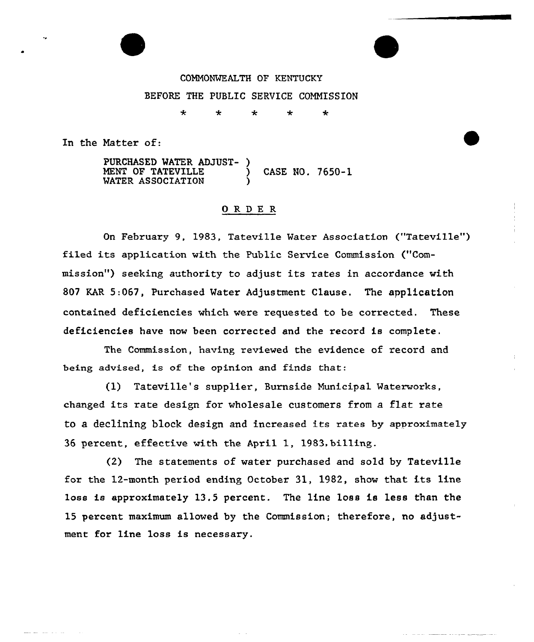

COMMONWEALTH OF KENTUCKY BEFORE THE PUBLIC SERVICE COMMISSION

> ÷ ÷

 $\star$ 

In the Matter of:

PURCHASED WATER ADJUST- } MENT OF TATEVILLE  $\left( \begin{array}{ccc} 0 & 0 & 0 \\ 0 & 0 & 0 \\ 0 & 0 & 0 \\ 0 & 0 & 0 \\ 0 & 0 & 0 \\ 0 & 0 & 0 \\ 0 & 0 & 0 \\ 0 & 0 & 0 \\ 0 & 0 & 0 \\ 0 & 0 & 0 \\ 0 & 0 & 0 \\ 0 & 0 & 0 \\ 0 & 0 & 0 \\ 0 & 0 & 0 \\ 0 & 0 & 0 \\ 0 & 0 & 0 \\ 0 & 0 & 0 \\ 0 & 0 & 0 \\ 0 & 0 & 0 \\ 0 & 0 & 0 \\ 0 & 0 & 0 \\ 0 &$ WATER ASSOCIATION (1)

#### ORDER

On February 9, 1983, Tateville Water Association ("Tateville") filed its application with the Public Service Commission ("Commission") seeking authority to adjust its rates in accordance with 807 KAR 5:067, Purchased Water Adjustment Clause. The application contained deficiencies which were requested to be corrected. These deficiencies have now been corrected and the record is complete.

The Commission, having reviewed the evidence of record and being advised, is of the opinion and finds that:

(1) Tateville's supplier, Burnside Municipal Waterworks, changed its rate design for wholesale customers from a flat rate to a declining block design and increased its rates by approximately 36 percent, effective with the April 1, 1983,billing.

(2) The statements of water purchased and sold by Tateville for the 12-month period ending October 31, 1982, show that its line loss is approximately 13.5 percent. The line loss is less than the 15 percent maximum allowed by the Commission; therefore, no adjustment for line loss is necessary.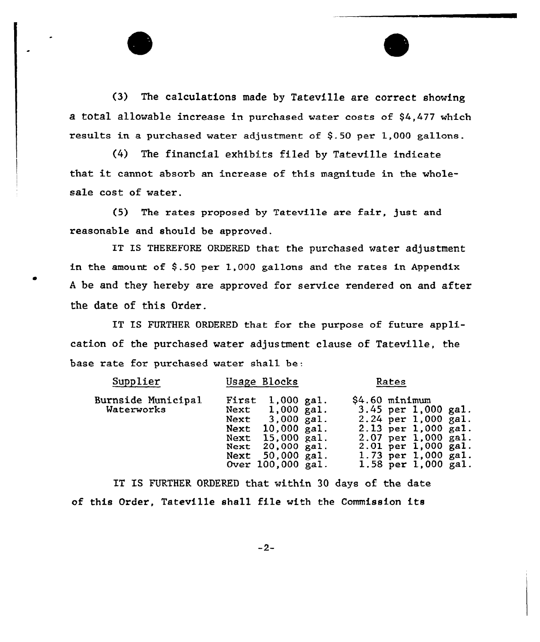(3) The calculations made by Tateville are correct showing a total allowable increase in purchased water costs of  $$4,477$  which results in a purchased water adjustment of \$.50 per 1,000 gallons.

(4) The financial exhibits filed by Tateville indicate that it cannot absorb an increase of this magnitude in the wholesale cost of water.

(5} The rates proposed by Tateville are fair, just and reasonable and should be approved.

IT IS THEREFORE ORDERED that the purchased water adjustment in the amount of \$.50 per 1,000 gallons and the rates in Appendix A be and they hereby are approved for service rendered on and after the date of this Order.

IT IS FURTHER ORDERED that for the purpose of future application of the purchased water adjustment clause of Tateville, the base rate for purchased water shall be:

| Supplier                         | Usage Blocks                                                                                                                                                           | Rates                                                                                                                                                                                  |
|----------------------------------|------------------------------------------------------------------------------------------------------------------------------------------------------------------------|----------------------------------------------------------------------------------------------------------------------------------------------------------------------------------------|
| Burnside Municipal<br>Waterworks | First<br>$1,000$ gal.<br>Next $1,000$ gal.<br>Next $3,000$ gal.<br>Next $10,000$ gal.<br>Next 15,000 gal.<br>Next 20,000 gal.<br>Next 50,000 gal.<br>Over 100,000 gal. | $$4.60$ minimum<br>3.45 per $1,000$ gal.<br>$2.24$ per 1,000 gal.<br>2.13 per 1,000 gal.<br>2.07 per 1,000 gal.<br>2.01 per 1,000 gal.<br>1.73 per 1,000 gal.<br>1.58 per $1,000$ gal. |

IT IS FURTHER ORDERED that within 30 days of the date of this Order, Tateville shall file with the Commission its

 $-2-$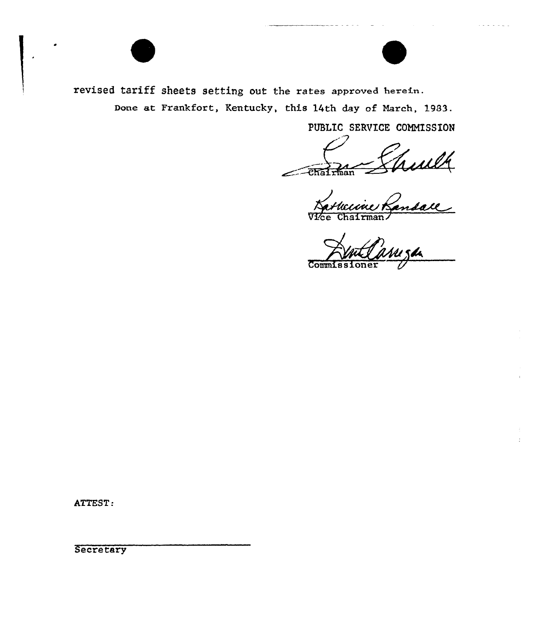

revised tariff sheets setting out the rates approved herein.

Done at Frankfort, Kentucky, this 14th day of March, 1983.

PUBLIC SERVICE COMMISSION

Trult Chairman

nan.

 $Comm1$ 

ATTEST:

Secretary